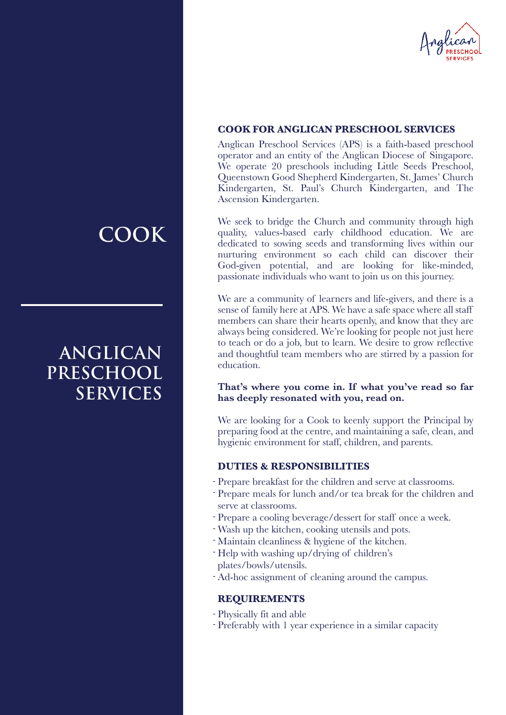

#### **COOK FOR ANGLICAN PRESCHOOL SERVICES**

Anglican Preschool Services (APS) is a faith-based preschool operator and an entity of the Anglican Diocese of Singapore. We operate 20 preschools including Little Seeds Preschool, Queenstown Good Shepherd Kindergarten, St. James' Church Kindergarten, St. Paul's Church Kindergarten, and The Ascension Kindergarten.

We seek to bridge the Church and community through high quality, values-based early childhood education. We are dedicated to sowing seeds and transforming lives within our nurturing environment so each child can discover their God-given potential, and are looking for like-minded, passionate individuals who want to join us on this journey.

We are a community of learners and life-givers, and there is a sense of family here at APS. We have a safe space where all staff members can share their hearts openly, and know that they are always being considered. We're looking for people not just here to teach or do a job, but to learn. We desire to grow reflective and thoughtful team members who are stirred by a passion for education.

#### **That's where you come in. If what you've read so far has deeply resonated with you, read on.**

We are looking for a Cook to keenly support the Principal by preparing food at the centre, and maintaining a safe, clean, and hygienic environment for staff, children, and parents.

#### **DUTIES & RESPONSIBILITIES**

- Prepare breakfast for the children and serve at classrooms.
- Prepare meals for lunch and/or tea break for the children and serve at classrooms.
- Prepare a cooling beverage/dessert for staff once a week.
- Wash up the kitchen, cooking utensils and pots. -
- Maintain cleanliness & hygiene of the kitchen.
- Help with washing up/drying of children's plates/bowls/utensils.
- Ad-hoc assignment of cleaning around the campus. -

#### **REQUIREMENTS**

- Physically fit and able
- Preferably with 1 year experience in a similar capacity

## **COOK**

## **ANGLICAN PRESCHOOL SERVICES**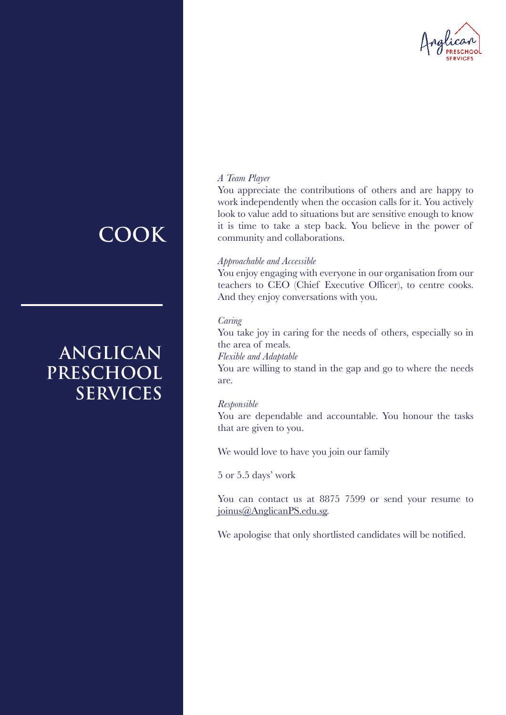

### *A Team Player*

You appreciate the contributions of others and are happy to work independently when the occasion calls for it. You actively look to value add to situations but are sensitive enough to know it is time to take a step back. You believe in the power of community and collaborations.

#### *Approachable and Accessible*

You enjoy engaging with everyone in our organisation from our teachers to CEO (Chief Executive Officer), to centre cooks. And they enjoy conversations with you.

#### *Caring*

You take joy in caring for the needs of others, especially so in the area of meals.

*Flexible and Adaptable*

You are willing to stand in the gap and go to where the needs are.

#### *Responsible*

You are dependable and accountable. You honour the tasks that are given to you.

We would love to have you join our family

5 or 5.5 days' work

You can contact us at 8875 7599 or send your resume to joinus@AnglicanPS.edu.sg.

We apologise that only shortlisted candidates will be notified.

## **COOK**

## **ANGLICAN PRESCHOOL SERVICES**